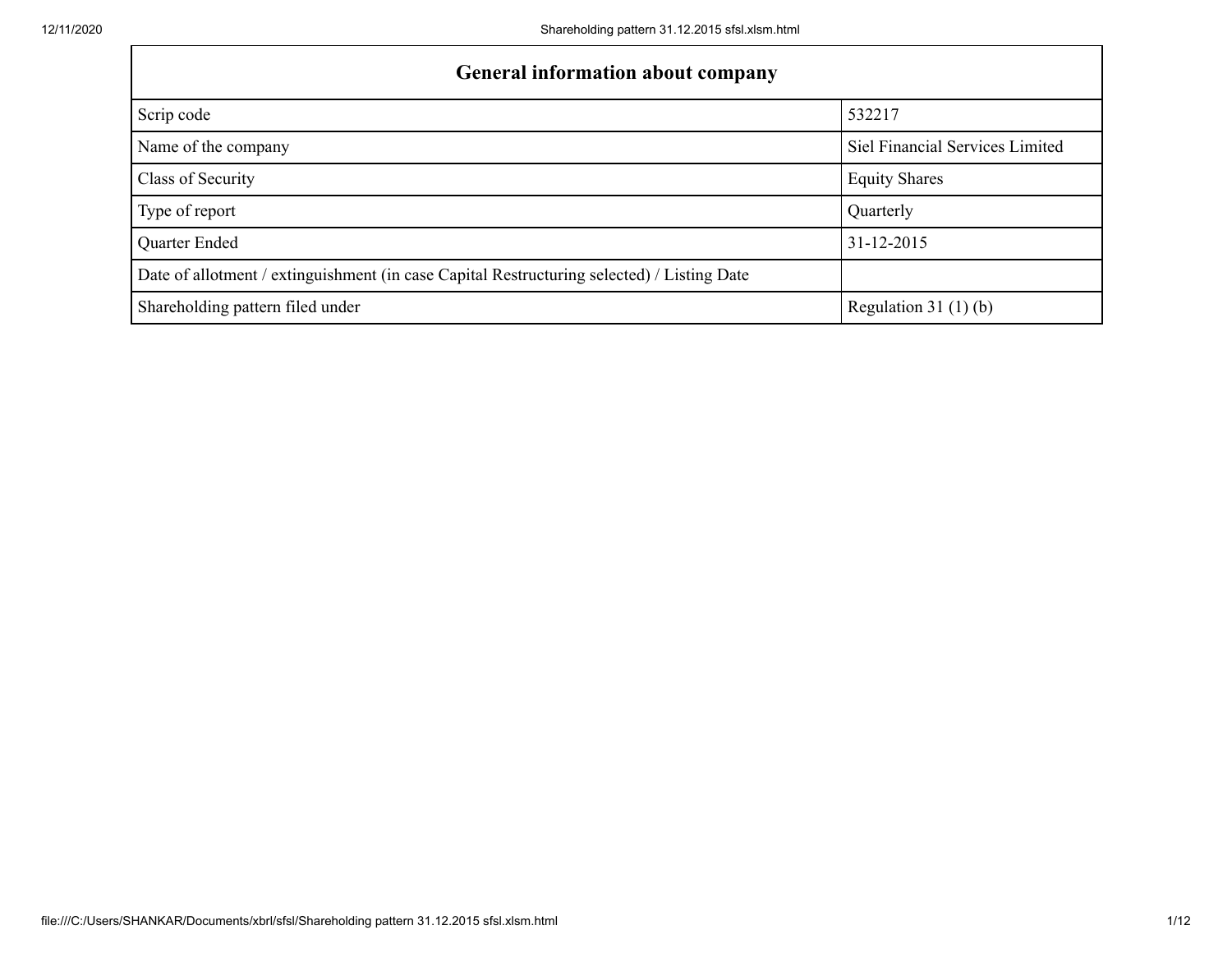| <b>General information about company</b>                                                   |                                 |  |  |  |  |  |
|--------------------------------------------------------------------------------------------|---------------------------------|--|--|--|--|--|
| Scrip code                                                                                 | 532217                          |  |  |  |  |  |
| Name of the company                                                                        | Siel Financial Services Limited |  |  |  |  |  |
| Class of Security                                                                          | <b>Equity Shares</b>            |  |  |  |  |  |
| Type of report                                                                             | Quarterly                       |  |  |  |  |  |
| Quarter Ended                                                                              | 31-12-2015                      |  |  |  |  |  |
| Date of allotment / extinguishment (in case Capital Restructuring selected) / Listing Date |                                 |  |  |  |  |  |
| Shareholding pattern filed under                                                           | Regulation $31(1)(b)$           |  |  |  |  |  |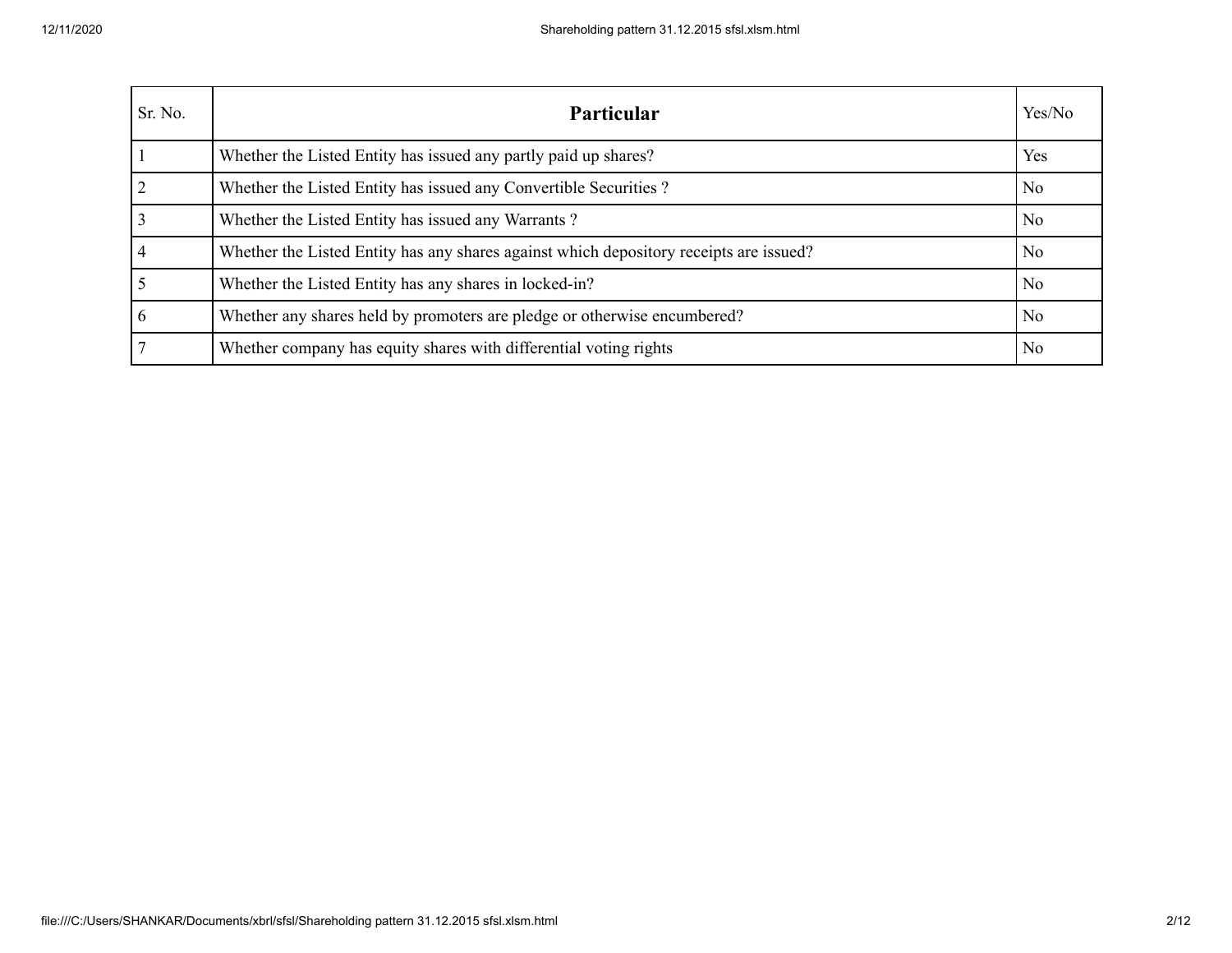| Sr. No. | <b>Particular</b>                                                                      | Yes/No         |
|---------|----------------------------------------------------------------------------------------|----------------|
|         | Whether the Listed Entity has issued any partly paid up shares?                        | Yes            |
|         | Whether the Listed Entity has issued any Convertible Securities?                       | N <sub>0</sub> |
|         | Whether the Listed Entity has issued any Warrants?                                     | N <sub>o</sub> |
|         | Whether the Listed Entity has any shares against which depository receipts are issued? | N <sub>0</sub> |
|         | Whether the Listed Entity has any shares in locked-in?                                 | No             |
| 6       | Whether any shares held by promoters are pledge or otherwise encumbered?               | N <sub>0</sub> |
|         | Whether company has equity shares with differential voting rights                      | N <sub>0</sub> |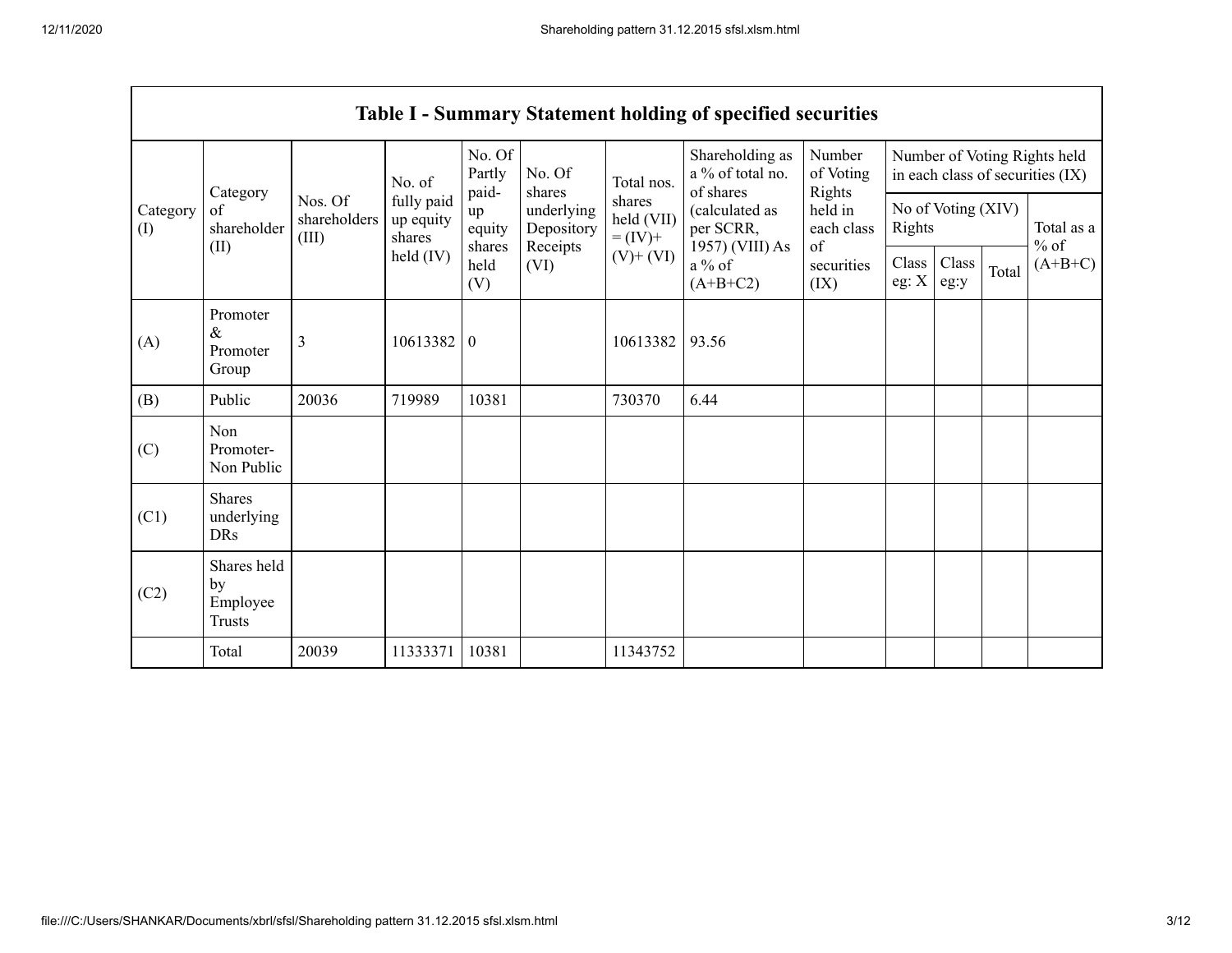|                                                 |                                                |                                  |                                   |                           |                                              |                                                      | Table I - Summary Statement holding of specified securities |                                                   |                              |               |       |                                                                  |
|-------------------------------------------------|------------------------------------------------|----------------------------------|-----------------------------------|---------------------------|----------------------------------------------|------------------------------------------------------|-------------------------------------------------------------|---------------------------------------------------|------------------------------|---------------|-------|------------------------------------------------------------------|
| Category<br>Category<br>of<br>$($ I $)$<br>(II) |                                                |                                  | No. of                            | No. Of<br>Partly<br>paid- | No. Of<br>shares                             | Total nos.                                           | Shareholding as<br>a % of total no.<br>of shares            | Number<br>of Voting<br>Rights                     |                              |               |       | Number of Voting Rights held<br>in each class of securities (IX) |
|                                                 | shareholder                                    | Nos. Of<br>shareholders<br>(III) | fully paid<br>up equity<br>shares | up<br>equity<br>shares    | underlying<br>Depository<br>Receipts<br>(VI) | shares<br>held (VII)<br>$= (IV) +$<br>$(V)$ + $(VI)$ | (calculated as<br>per SCRR,<br>1957) (VIII) As              | held in<br>each class<br>of<br>securities<br>(IX) | No of Voting (XIV)<br>Rights |               |       | Total as a<br>$%$ of                                             |
|                                                 |                                                |                                  | held (IV)                         | held<br>(V)               |                                              |                                                      | $a\%$ of<br>$(A+B+C2)$                                      |                                                   | Class<br>eg: $X$             | Class<br>eg:y | Total | $(A+B+C)$                                                        |
| (A)                                             | Promoter<br>$\&$<br>Promoter<br>Group          | 3                                | 10613382                          | $\mathbf{0}$              |                                              | 10613382                                             | 93.56                                                       |                                                   |                              |               |       |                                                                  |
| (B)                                             | Public                                         | 20036                            | 719989                            | 10381                     |                                              | 730370                                               | 6.44                                                        |                                                   |                              |               |       |                                                                  |
| (C)                                             | Non<br>Promoter-<br>Non Public                 |                                  |                                   |                           |                                              |                                                      |                                                             |                                                   |                              |               |       |                                                                  |
| (C1)                                            | <b>Shares</b><br>underlying<br><b>DRs</b>      |                                  |                                   |                           |                                              |                                                      |                                                             |                                                   |                              |               |       |                                                                  |
| (C2)                                            | Shares held<br>by<br>Employee<br><b>Trusts</b> |                                  |                                   |                           |                                              |                                                      |                                                             |                                                   |                              |               |       |                                                                  |
|                                                 | Total                                          | 20039                            | 11333371                          | 10381                     |                                              | 11343752                                             |                                                             |                                                   |                              |               |       |                                                                  |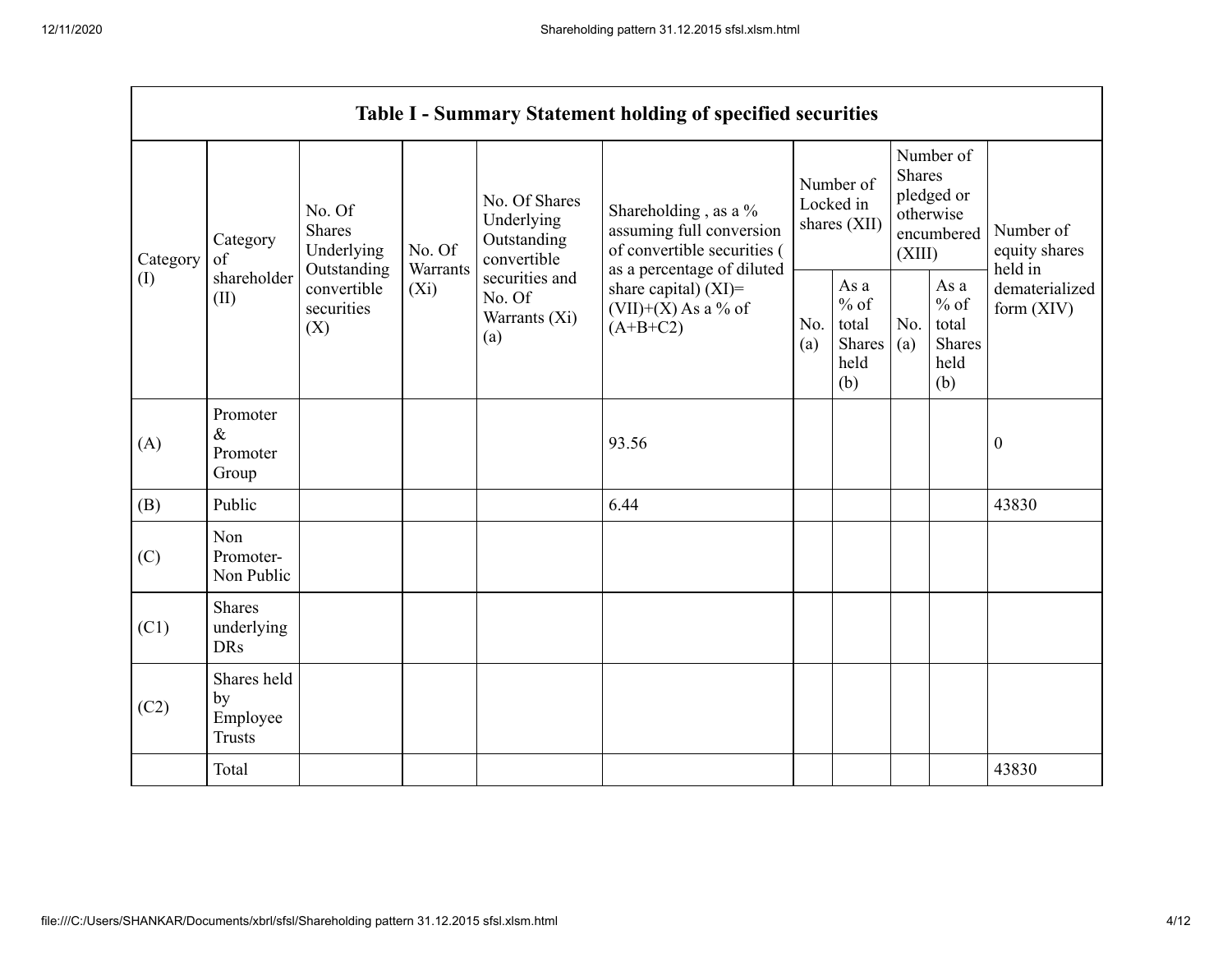|                 |                                                |                                                                                          |                               |                                                                                                               | <b>Table I - Summary Statement holding of specified securities</b>                                                                                                              |                                        |                                                  |                                                                               |                                                         |                                       |
|-----------------|------------------------------------------------|------------------------------------------------------------------------------------------|-------------------------------|---------------------------------------------------------------------------------------------------------------|---------------------------------------------------------------------------------------------------------------------------------------------------------------------------------|----------------------------------------|--------------------------------------------------|-------------------------------------------------------------------------------|---------------------------------------------------------|---------------------------------------|
| Category<br>(I) | Category<br>of<br>shareholder<br>(II)          | No. Of<br><b>Shares</b><br>Underlying<br>Outstanding<br>convertible<br>securities<br>(X) | No. Of<br>Warrants<br>$(X_i)$ | No. Of Shares<br>Underlying<br>Outstanding<br>convertible<br>securities and<br>No. Of<br>Warrants (Xi)<br>(a) | Shareholding, as a %<br>assuming full conversion<br>of convertible securities (<br>as a percentage of diluted<br>share capital) $(XI)$ =<br>$(VII)+(X)$ As a % of<br>$(A+B+C2)$ | Number of<br>Locked in<br>shares (XII) |                                                  | Number of<br><b>Shares</b><br>pledged or<br>otherwise<br>encumbered<br>(XIII) |                                                         | Number of<br>equity shares<br>held in |
|                 |                                                |                                                                                          |                               |                                                                                                               |                                                                                                                                                                                 | No.<br>(a)                             | As a<br>$%$ of<br>total<br>Shares<br>held<br>(b) | No.<br>(a)                                                                    | As a<br>$%$ of<br>total<br><b>Shares</b><br>held<br>(b) | dematerialized<br>form $(XIV)$        |
| (A)             | Promoter<br>$\&$<br>Promoter<br>Group          |                                                                                          |                               |                                                                                                               | 93.56                                                                                                                                                                           |                                        |                                                  |                                                                               |                                                         | $\boldsymbol{0}$                      |
| (B)             | Public                                         |                                                                                          |                               |                                                                                                               | 6.44                                                                                                                                                                            |                                        |                                                  |                                                                               |                                                         | 43830                                 |
| (C)             | Non<br>Promoter-<br>Non Public                 |                                                                                          |                               |                                                                                                               |                                                                                                                                                                                 |                                        |                                                  |                                                                               |                                                         |                                       |
| (C1)            | Shares<br>underlying<br><b>DRs</b>             |                                                                                          |                               |                                                                                                               |                                                                                                                                                                                 |                                        |                                                  |                                                                               |                                                         |                                       |
| (C2)            | Shares held<br>by<br>Employee<br><b>Trusts</b> |                                                                                          |                               |                                                                                                               |                                                                                                                                                                                 |                                        |                                                  |                                                                               |                                                         |                                       |
|                 | Total                                          |                                                                                          |                               |                                                                                                               |                                                                                                                                                                                 |                                        |                                                  |                                                                               |                                                         | 43830                                 |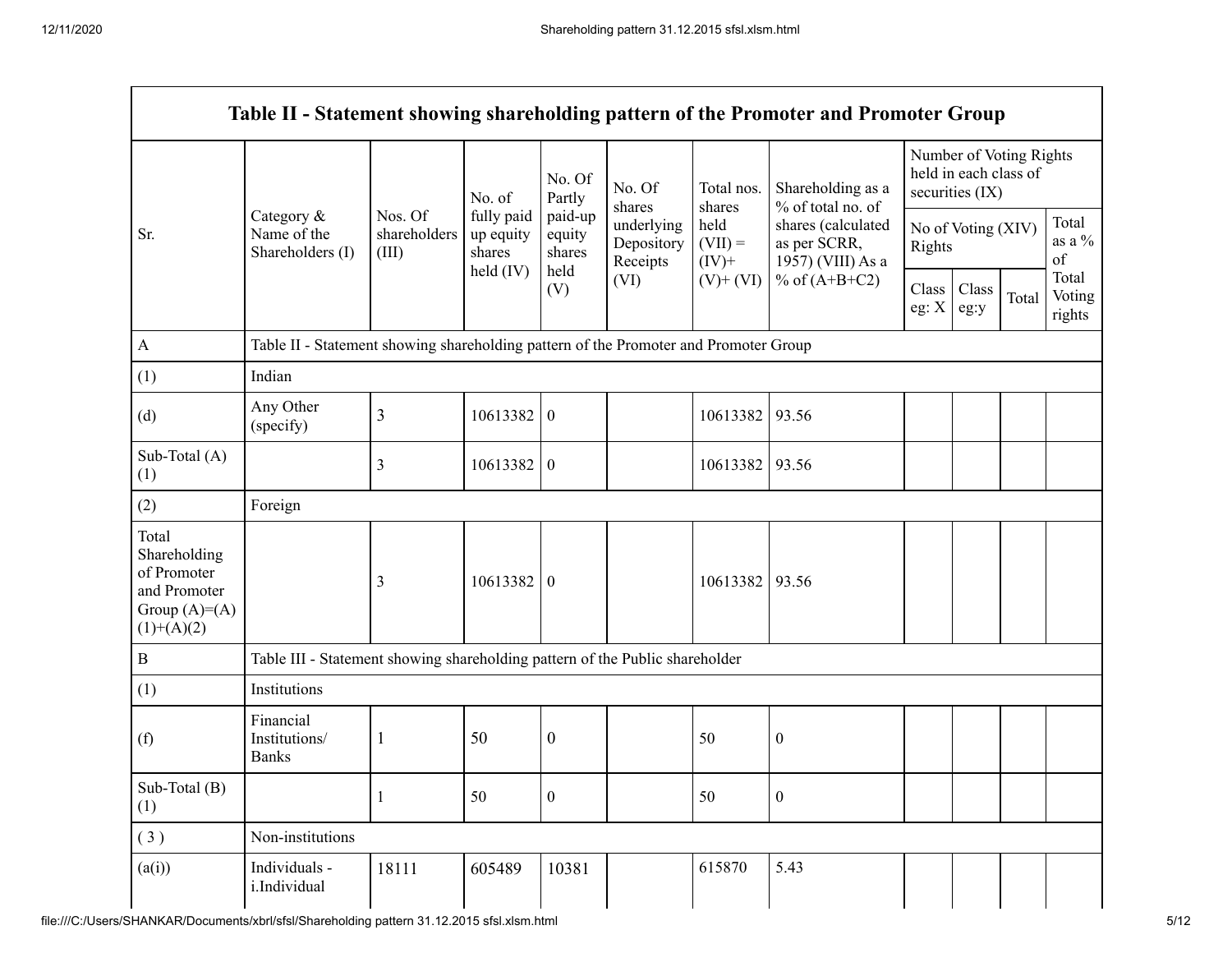|                                                                                        |                                                                                      |                                  | No. of                            | No. Of<br>Partly            | No. Of<br>shares                     | Total nos.<br>shares          | Shareholding as a<br>% of total no. of                                     |                              | Number of Voting Rights<br>held in each class of<br>securities (IX) |       |                                  |
|----------------------------------------------------------------------------------------|--------------------------------------------------------------------------------------|----------------------------------|-----------------------------------|-----------------------------|--------------------------------------|-------------------------------|----------------------------------------------------------------------------|------------------------------|---------------------------------------------------------------------|-------|----------------------------------|
| Sr.                                                                                    | Category &<br>Name of the<br>Shareholders (I)                                        | Nos. Of<br>shareholders<br>(III) | fully paid<br>up equity<br>shares | paid-up<br>equity<br>shares | underlying<br>Depository<br>Receipts | held<br>$(VII) =$<br>$(IV)$ + | shares (calculated<br>as per SCRR,<br>1957) (VIII) As a<br>% of $(A+B+C2)$ | No of Voting (XIV)<br>Rights |                                                                     |       | Total<br>as a $\%$<br>$\sigma f$ |
|                                                                                        |                                                                                      |                                  | held (IV)                         | held<br>(V)                 | (VI)                                 | $(V)$ + $(VI)$                |                                                                            | Class<br>eg: $\mathbf{X}$    | Class<br>eg:y                                                       | Total | Total<br>Voting<br>rights        |
| $\boldsymbol{\mathsf{A}}$                                                              | Table II - Statement showing shareholding pattern of the Promoter and Promoter Group |                                  |                                   |                             |                                      |                               |                                                                            |                              |                                                                     |       |                                  |
| (1)                                                                                    | Indian                                                                               |                                  |                                   |                             |                                      |                               |                                                                            |                              |                                                                     |       |                                  |
| (d)                                                                                    | Any Other<br>(specify)                                                               | 3                                | 10613382                          | $\boldsymbol{0}$            |                                      | 10613382                      | 93.56                                                                      |                              |                                                                     |       |                                  |
| Sub-Total (A)<br>(1)                                                                   |                                                                                      | 3                                | 10613382                          | $\overline{0}$              |                                      | 10613382                      | 93.56                                                                      |                              |                                                                     |       |                                  |
| (2)                                                                                    | Foreign                                                                              |                                  |                                   |                             |                                      |                               |                                                                            |                              |                                                                     |       |                                  |
| Total<br>Shareholding<br>of Promoter<br>and Promoter<br>Group $(A)=A)$<br>$(1)+(A)(2)$ |                                                                                      | 3                                | 10613382                          | $\boldsymbol{0}$            |                                      | 10613382                      | 93.56                                                                      |                              |                                                                     |       |                                  |
| B                                                                                      | Table III - Statement showing shareholding pattern of the Public shareholder         |                                  |                                   |                             |                                      |                               |                                                                            |                              |                                                                     |       |                                  |
| (1)                                                                                    | Institutions                                                                         |                                  |                                   |                             |                                      |                               |                                                                            |                              |                                                                     |       |                                  |
| (f)                                                                                    | Financial<br>Institutions/<br><b>Banks</b>                                           | $\mathbf{1}$                     | 50                                | $\boldsymbol{0}$            |                                      | 50                            | $\boldsymbol{0}$                                                           |                              |                                                                     |       |                                  |
| Sub-Total (B)<br>(1)                                                                   |                                                                                      |                                  | 50                                | $\boldsymbol{0}$            |                                      | 50                            | $\boldsymbol{0}$                                                           |                              |                                                                     |       |                                  |
| (3)                                                                                    | Non-institutions                                                                     |                                  |                                   |                             |                                      |                               |                                                                            |                              |                                                                     |       |                                  |
| (a(i))                                                                                 | Individuals -<br>i.Individual                                                        | 18111                            | 605489                            | 10381                       |                                      | 615870                        | 5.43                                                                       |                              |                                                                     |       |                                  |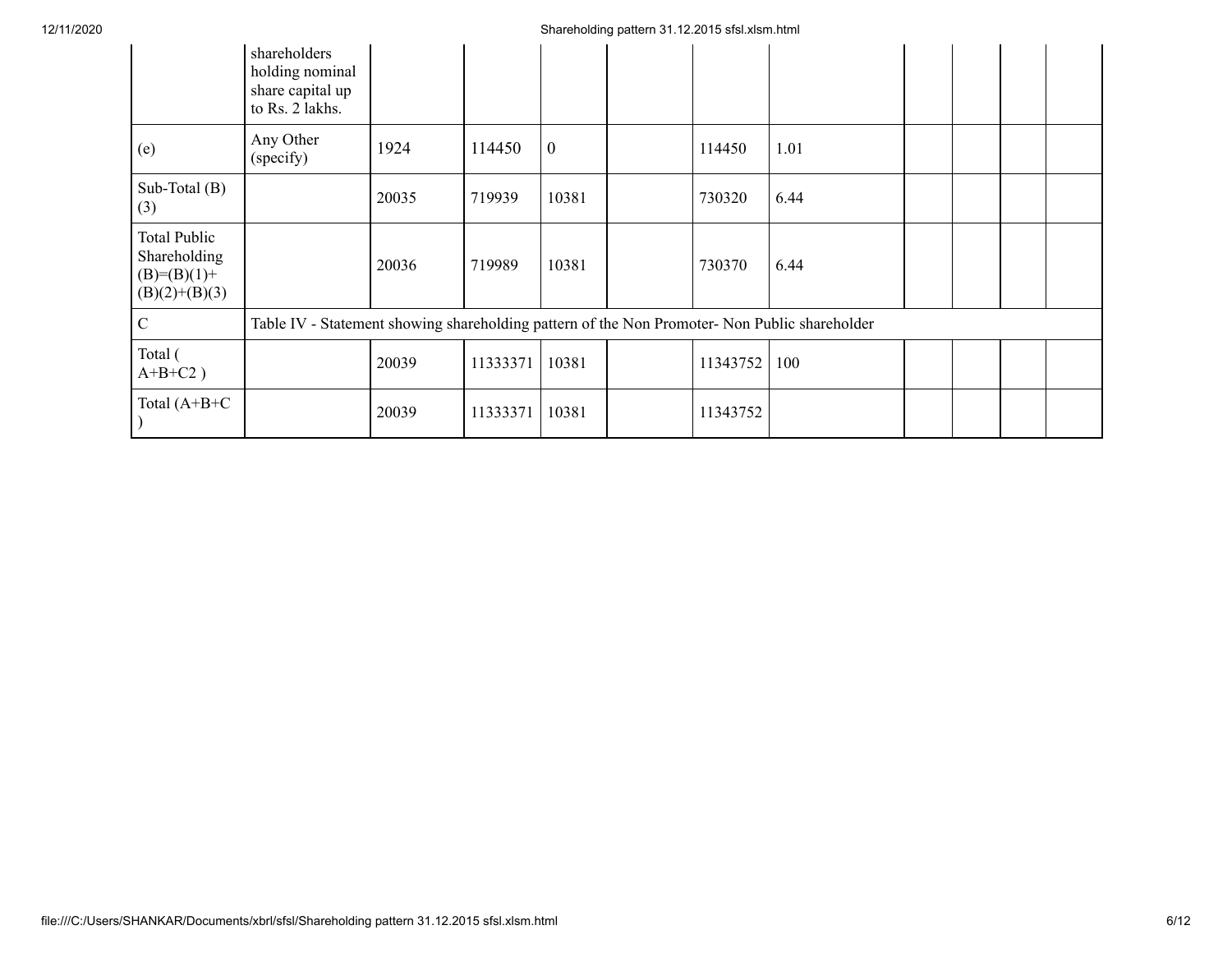## 12/11/2020 Shareholding pattern 31.12.2015 sfsl.xlsm.html

|                                                                  | shareholders<br>holding nominal<br>share capital up<br>to Rs. 2 lakhs.                        |       |          |              |          |      |  |  |
|------------------------------------------------------------------|-----------------------------------------------------------------------------------------------|-------|----------|--------------|----------|------|--|--|
| (e)                                                              | Any Other<br>(specify)                                                                        | 1924  | 114450   | $\mathbf{0}$ | 114450   | 1.01 |  |  |
| Sub-Total (B)<br>(3)                                             |                                                                                               | 20035 | 719939   | 10381        | 730320   | 6.44 |  |  |
| Total Public<br>Shareholding<br>$(B)=(B)(1)+$<br>$(B)(2)+(B)(3)$ |                                                                                               | 20036 | 719989   | 10381        | 730370   | 6.44 |  |  |
| $\mathbf C$                                                      | Table IV - Statement showing shareholding pattern of the Non Promoter- Non Public shareholder |       |          |              |          |      |  |  |
| Total (<br>$A+B+C2$ )                                            |                                                                                               | 20039 | 11333371 | 10381        | 11343752 | 100  |  |  |
| Total $(A+B+C)$                                                  |                                                                                               | 20039 | 11333371 | 10381        | 11343752 |      |  |  |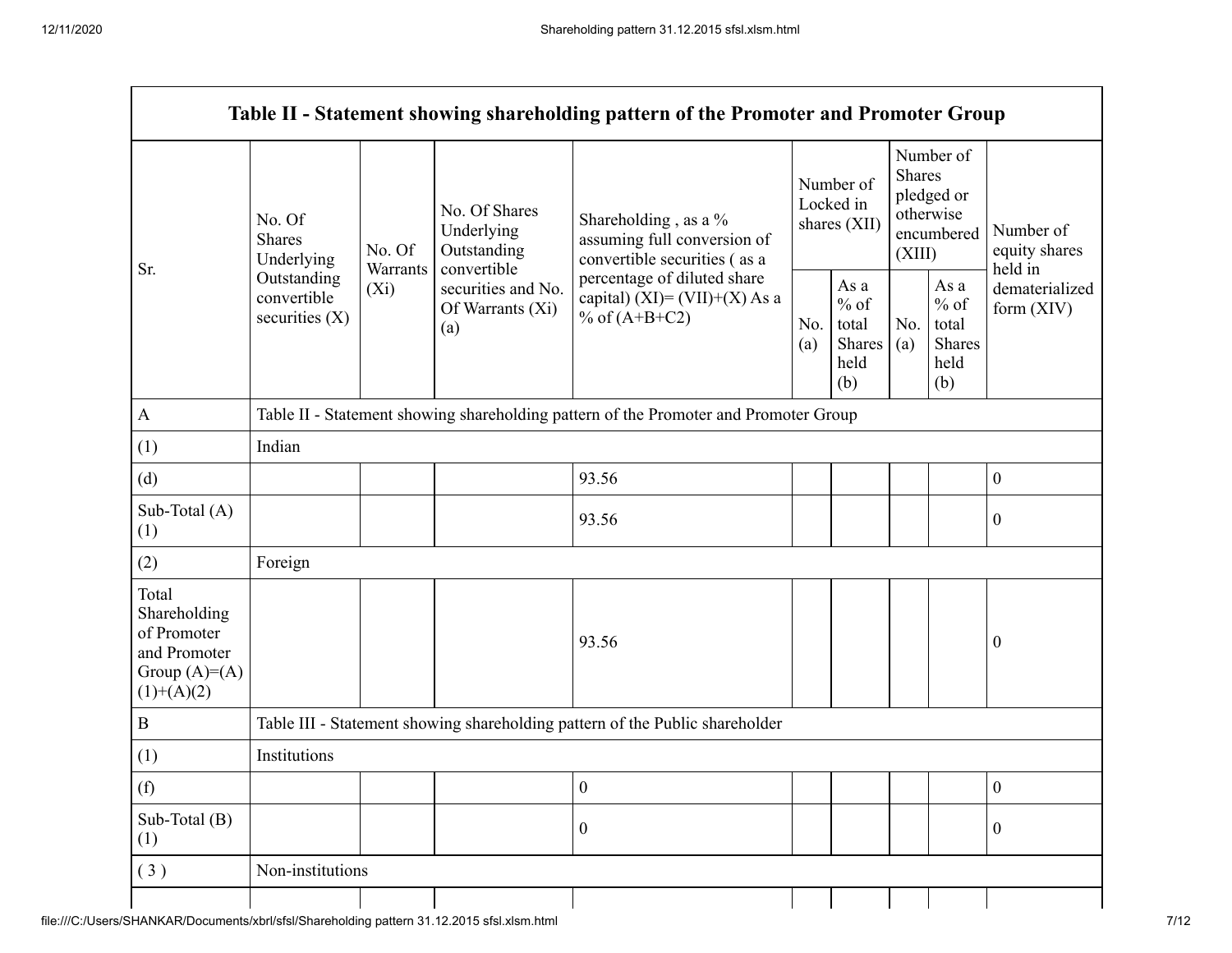$\mathsf{r}$ 

| Sr.                                                                                    | No. Of<br><b>Shares</b><br>Underlying<br>Outstanding<br>convertible<br>securities $(X)$ | No. Of<br>Warrants<br>$(X_i)$ | No. Of Shares<br>Underlying<br>Outstanding<br>convertible<br>securities and No.<br>Of Warrants (Xi)<br>(a) | Shareholding, as a %<br>assuming full conversion of<br>convertible securities (as a<br>percentage of diluted share<br>capital) (XI)= $(VII)+(X)$ As a<br>% of $(A+B+C2)$ |  | Number of<br>Locked in<br>shares (XII)           | Number of<br><b>Shares</b><br>pledged or<br>otherwise<br>encumbered<br>(XIII) |                                                  | Number of<br>equity shares<br>held in |  |
|----------------------------------------------------------------------------------------|-----------------------------------------------------------------------------------------|-------------------------------|------------------------------------------------------------------------------------------------------------|--------------------------------------------------------------------------------------------------------------------------------------------------------------------------|--|--------------------------------------------------|-------------------------------------------------------------------------------|--------------------------------------------------|---------------------------------------|--|
|                                                                                        |                                                                                         |                               |                                                                                                            |                                                                                                                                                                          |  | As a<br>$%$ of<br>total<br>Shares<br>held<br>(b) | No.<br>(a)                                                                    | As a<br>$%$ of<br>total<br>Shares<br>held<br>(b) | dematerialized<br>form $(XIV)$        |  |
| $\mathbf{A}$                                                                           | Table II - Statement showing shareholding pattern of the Promoter and Promoter Group    |                               |                                                                                                            |                                                                                                                                                                          |  |                                                  |                                                                               |                                                  |                                       |  |
| (1)                                                                                    | Indian                                                                                  |                               |                                                                                                            |                                                                                                                                                                          |  |                                                  |                                                                               |                                                  |                                       |  |
| (d)                                                                                    |                                                                                         |                               |                                                                                                            | 93.56                                                                                                                                                                    |  |                                                  |                                                                               |                                                  | $\boldsymbol{0}$                      |  |
| Sub-Total (A)<br>(1)                                                                   |                                                                                         |                               |                                                                                                            | 93.56                                                                                                                                                                    |  |                                                  |                                                                               |                                                  | 0                                     |  |
| (2)                                                                                    | Foreign                                                                                 |                               |                                                                                                            |                                                                                                                                                                          |  |                                                  |                                                                               |                                                  |                                       |  |
| Total<br>Shareholding<br>of Promoter<br>and Promoter<br>Group $(A)=A)$<br>$(1)+(A)(2)$ |                                                                                         |                               |                                                                                                            | 93.56                                                                                                                                                                    |  |                                                  |                                                                               |                                                  | $\boldsymbol{0}$                      |  |
| $\bf{B}$                                                                               |                                                                                         |                               |                                                                                                            | Table III - Statement showing shareholding pattern of the Public shareholder                                                                                             |  |                                                  |                                                                               |                                                  |                                       |  |
| (1)                                                                                    | Institutions                                                                            |                               |                                                                                                            |                                                                                                                                                                          |  |                                                  |                                                                               |                                                  |                                       |  |
| (f)                                                                                    |                                                                                         |                               |                                                                                                            | $\boldsymbol{0}$                                                                                                                                                         |  |                                                  |                                                                               |                                                  | $\boldsymbol{0}$                      |  |
| Sub-Total (B)<br>(1)                                                                   |                                                                                         |                               |                                                                                                            | $\boldsymbol{0}$                                                                                                                                                         |  |                                                  |                                                                               |                                                  | $\boldsymbol{0}$                      |  |
| (3)                                                                                    | Non-institutions                                                                        |                               |                                                                                                            |                                                                                                                                                                          |  |                                                  |                                                                               |                                                  |                                       |  |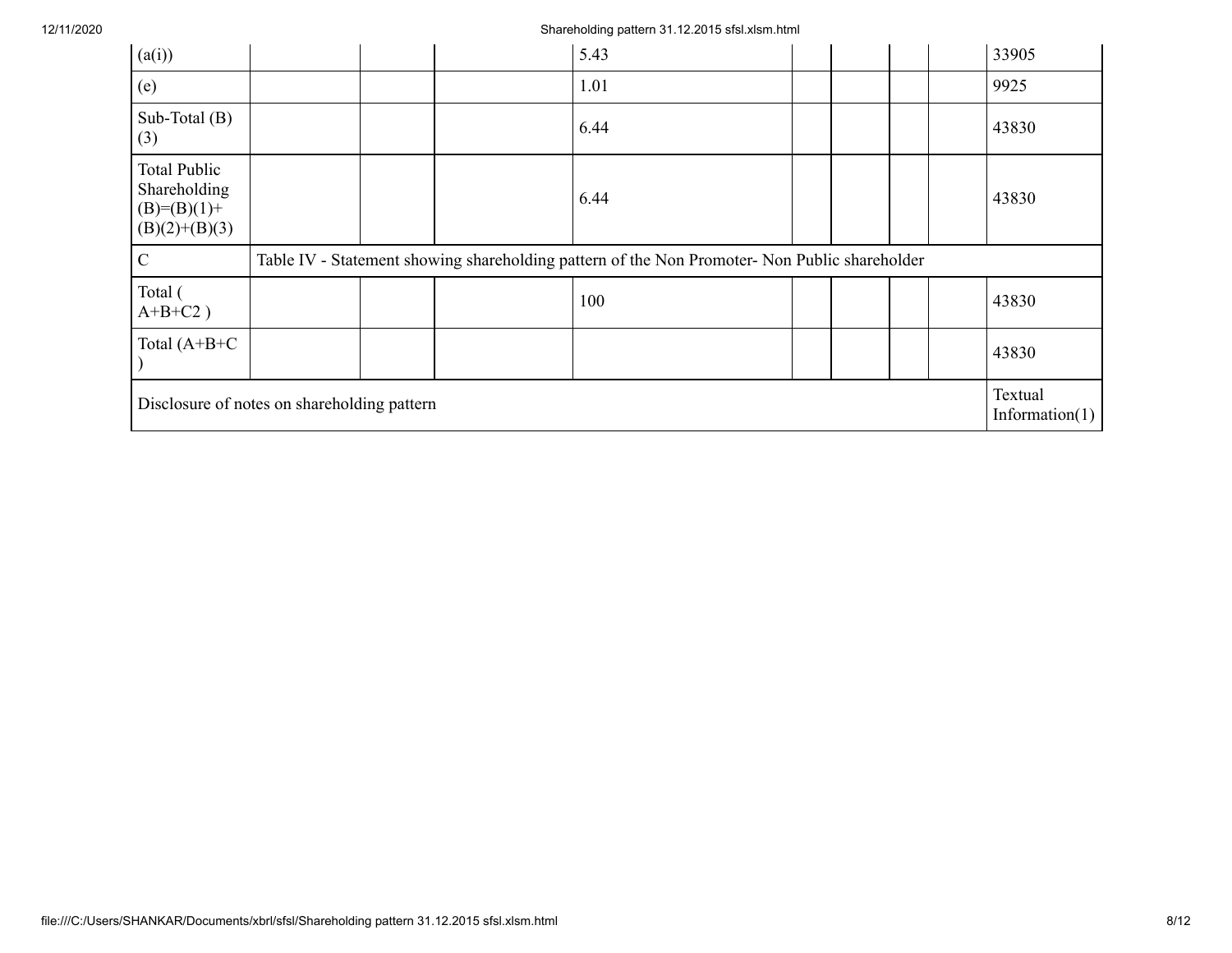| (a(i))                                                                  |  |  |  | 5.43                                                                                          |  |                              |  | 33905 |
|-------------------------------------------------------------------------|--|--|--|-----------------------------------------------------------------------------------------------|--|------------------------------|--|-------|
| (e)                                                                     |  |  |  | 1.01                                                                                          |  |                              |  | 9925  |
| Sub-Total $(B)$<br>(3)                                                  |  |  |  | 6.44                                                                                          |  |                              |  | 43830 |
| <b>Total Public</b><br>Shareholding<br>$(B)=(B)(1)+$<br>$(B)(2)+(B)(3)$ |  |  |  | 6.44                                                                                          |  |                              |  | 43830 |
| $\mathcal{C}$                                                           |  |  |  | Table IV - Statement showing shareholding pattern of the Non Promoter- Non Public shareholder |  |                              |  |       |
| Total (<br>$A+B+C2$ )                                                   |  |  |  | 100                                                                                           |  |                              |  | 43830 |
| Total $(A+B+C)$                                                         |  |  |  |                                                                                               |  |                              |  | 43830 |
| Disclosure of notes on shareholding pattern                             |  |  |  |                                                                                               |  | Textual<br>Information $(1)$ |  |       |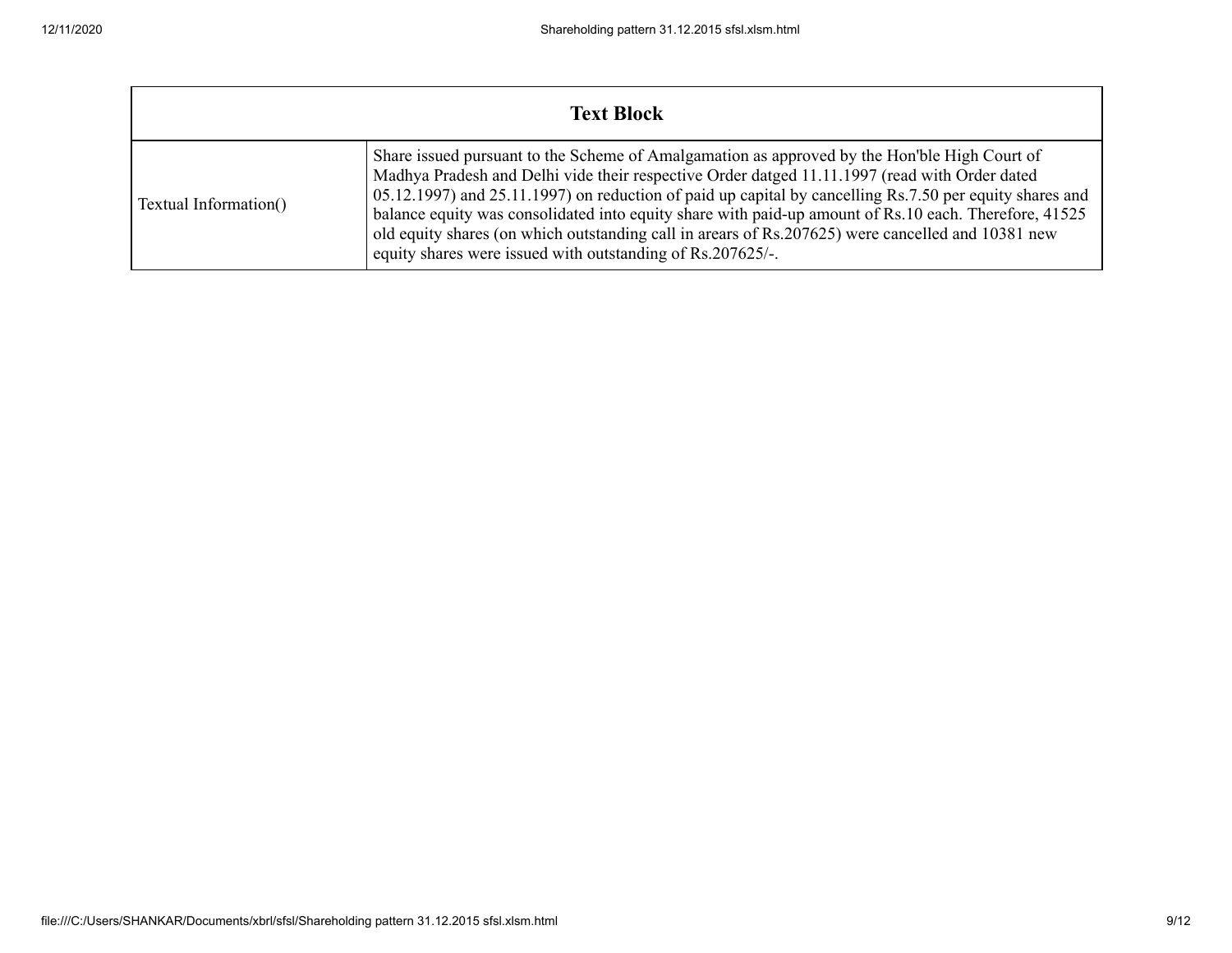| <b>Text Block</b>     |                                                                                                                                                                                                                                                                                                                                                                                                                                                                                                                                                                                      |  |  |  |  |  |  |
|-----------------------|--------------------------------------------------------------------------------------------------------------------------------------------------------------------------------------------------------------------------------------------------------------------------------------------------------------------------------------------------------------------------------------------------------------------------------------------------------------------------------------------------------------------------------------------------------------------------------------|--|--|--|--|--|--|
| Textual Information() | Share issued pursuant to the Scheme of Amalgamation as approved by the Hon'ble High Court of<br>Madhya Pradesh and Delhi vide their respective Order datged 11.11.1997 (read with Order dated<br>05.12.1997) and 25.11.1997) on reduction of paid up capital by cancelling Rs.7.50 per equity shares and<br>balance equity was consolidated into equity share with paid-up amount of Rs.10 each. Therefore, 41525<br>old equity shares (on which outstanding call in arears of Rs.207625) were cancelled and 10381 new<br>equity shares were issued with outstanding of Rs.207625/-. |  |  |  |  |  |  |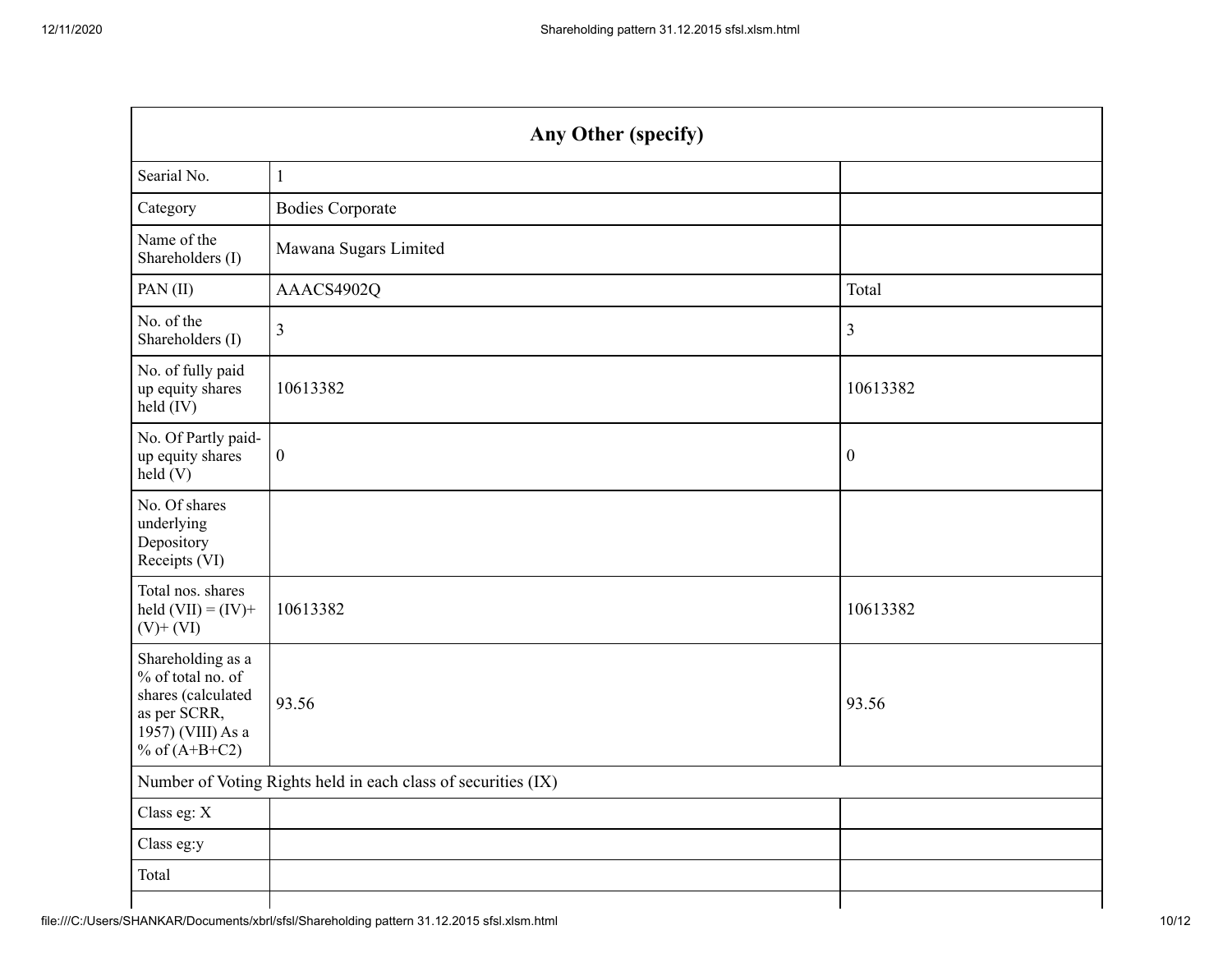| Any Other (specify)                                                                                                  |                                                               |                  |  |  |  |  |  |
|----------------------------------------------------------------------------------------------------------------------|---------------------------------------------------------------|------------------|--|--|--|--|--|
| Searial No.                                                                                                          | $1\,$                                                         |                  |  |  |  |  |  |
| Category                                                                                                             | <b>Bodies Corporate</b>                                       |                  |  |  |  |  |  |
| Name of the<br>Shareholders (I)                                                                                      | Mawana Sugars Limited                                         |                  |  |  |  |  |  |
| PAN $(II)$                                                                                                           | AAACS4902Q                                                    | Total            |  |  |  |  |  |
| No. of the<br>Shareholders (I)                                                                                       | $\mathfrak{Z}$                                                | $\mathfrak{Z}$   |  |  |  |  |  |
| No. of fully paid<br>up equity shares<br>held (IV)                                                                   | 10613382                                                      | 10613382         |  |  |  |  |  |
| No. Of Partly paid-<br>up equity shares<br>held(V)                                                                   | $\boldsymbol{0}$                                              | $\boldsymbol{0}$ |  |  |  |  |  |
| No. Of shares<br>underlying<br>Depository<br>Receipts (VI)                                                           |                                                               |                  |  |  |  |  |  |
| Total nos. shares<br>held $(VII) = (IV) +$<br>$(V)$ + $(VI)$                                                         | 10613382                                                      | 10613382         |  |  |  |  |  |
| Shareholding as a<br>% of total no. of<br>shares (calculated<br>as per SCRR,<br>1957) (VIII) As a<br>% of $(A+B+C2)$ | 93.56                                                         | 93.56            |  |  |  |  |  |
|                                                                                                                      | Number of Voting Rights held in each class of securities (IX) |                  |  |  |  |  |  |
| Class eg: X                                                                                                          |                                                               |                  |  |  |  |  |  |
| Class eg:y                                                                                                           |                                                               |                  |  |  |  |  |  |
| Total                                                                                                                |                                                               |                  |  |  |  |  |  |
|                                                                                                                      |                                                               |                  |  |  |  |  |  |